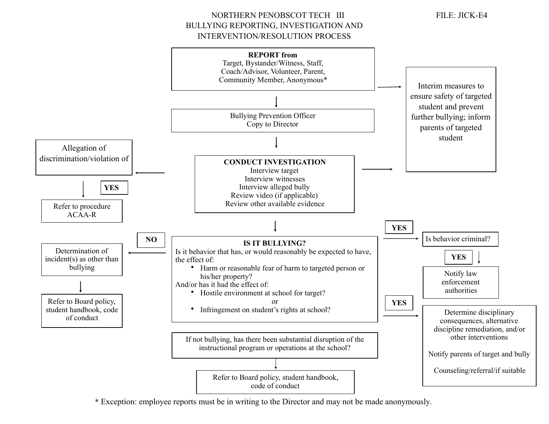NORTHERN PENOBSCOT TECH III FILE: JICK-E4 BULLYING REPORTING, INVESTIGATION AND INTERVENTION/RESOLUTION PROCESS

 $\overline{a}$ j **REPORT from**  Target, Bystander/Witness, Staff, Coach/Advisor, Volunteer, Parent, Community Member, Anonymous\* Bullying Prevention Officer Copy to Director **CONDUCT INVESTIGATION** Interview target Interview witnesses Interview alleged bully Review video (if applicable) Review other available evidence **IS IT BULLYING?**  Is it behavior that has, or would reasonably be expected to have, the effect of: • Harm or reasonable fear of harm to targeted person or his/her property? And/or has it had the effect of: • Hostile environment at school for target? or • Infringement on student's rights at school? If not bullying, has there been substantial disruption of the instructional program or operations at the school? Refer to Board policy, student handbook, code of conduct **YES YES** Determine disciplinary consequences, alternative discipline remediation, and/or other interventions Notify parents of target and bully Counseling/referral/if suitable **NO** Determination of incident(s) as other than bullying Refer to Board policy, student handbook, code of conduct Is behavior criminal? Notify law enforcement authorities **YES** Interim measures to ensure safety of targeted student and prevent further bullying; inform parents of targeted student Allegation of discrimination/violation of Refer to procedure ACAA-R **YES**

\* Exception: employee reports must be in writing to the Director and may not be made anonymously.